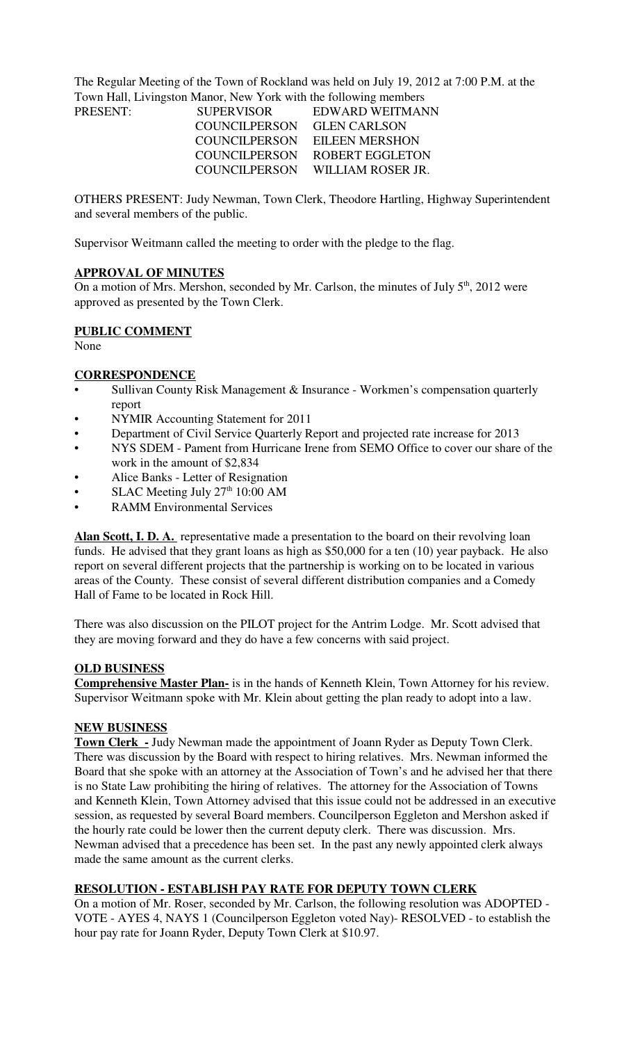The Regular Meeting of the Town of Rockland was held on July 19, 2012 at 7:00 P.M. at the Town Hall, Livingston Manor, New York with the following members

| PRESENT: | <b>SUPERVISOR</b> | EDWARD WEITMANN                 |
|----------|-------------------|---------------------------------|
|          | COUNCILPERSON     | <b>GLEN CARLSON</b>             |
|          |                   | COUNCILPERSON EILEEN MERSHON    |
|          |                   | COUNCILPERSON ROBERT EGGLETON   |
|          |                   | COUNCILPERSON WILLIAM ROSER JR. |

OTHERS PRESENT: Judy Newman, Town Clerk, Theodore Hartling, Highway Superintendent and several members of the public.

Supervisor Weitmann called the meeting to order with the pledge to the flag.

### **APPROVAL OF MINUTES**

On a motion of Mrs. Mershon, seconded by Mr. Carlson, the minutes of July  $5<sup>th</sup>$ , 2012 were approved as presented by the Town Clerk.

# **PUBLIC COMMENT**

None

# **CORRESPONDENCE**

- Sullivan County Risk Management & Insurance Workmen's compensation quarterly report
- NYMIR Accounting Statement for 2011
- Department of Civil Service Quarterly Report and projected rate increase for 2013
- NYS SDEM Pament from Hurricane Irene from SEMO Office to cover our share of the work in the amount of \$2,834
- Alice Banks Letter of Resignation
- SLAC Meeting July  $27<sup>th</sup> 10:00$  AM
- RAMM Environmental Services

Alan Scott, I. D. A. representative made a presentation to the board on their revolving loan funds. He advised that they grant loans as high as \$50,000 for a ten (10) year payback. He also report on several different projects that the partnership is working on to be located in various areas of the County. These consist of several different distribution companies and a Comedy Hall of Fame to be located in Rock Hill.

There was also discussion on the PILOT project for the Antrim Lodge. Mr. Scott advised that they are moving forward and they do have a few concerns with said project.

### **OLD BUSINESS**

**Comprehensive Master Plan-** is in the hands of Kenneth Klein, Town Attorney for his review. Supervisor Weitmann spoke with Mr. Klein about getting the plan ready to adopt into a law.

### **NEW BUSINESS**

**Town Clerk -** Judy Newman made the appointment of Joann Ryder as Deputy Town Clerk. There was discussion by the Board with respect to hiring relatives. Mrs. Newman informed the Board that she spoke with an attorney at the Association of Town's and he advised her that there is no State Law prohibiting the hiring of relatives. The attorney for the Association of Towns and Kenneth Klein, Town Attorney advised that this issue could not be addressed in an executive session, as requested by several Board members. Councilperson Eggleton and Mershon asked if the hourly rate could be lower then the current deputy clerk. There was discussion. Mrs. Newman advised that a precedence has been set. In the past any newly appointed clerk always made the same amount as the current clerks.

# **RESOLUTION - ESTABLISH PAY RATE FOR DEPUTY TOWN CLERK**

On a motion of Mr. Roser, seconded by Mr. Carlson, the following resolution was ADOPTED - VOTE - AYES 4, NAYS 1 (Councilperson Eggleton voted Nay)- RESOLVED - to establish the hour pay rate for Joann Ryder, Deputy Town Clerk at \$10.97.